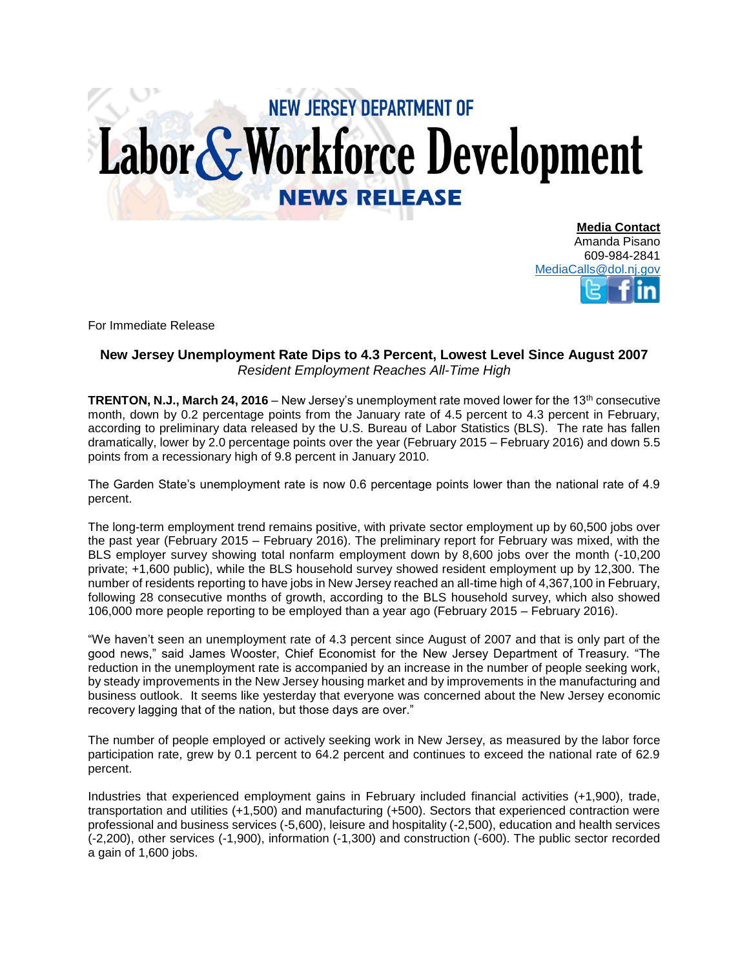## **NEW JERSEY DEPARTMENT OF** Labor & Workforce Development **NEWS RELEASE**

**Media Contact** Amanda Pisano 609-984-2841 [MediaCalls@dol.nj.gov](mailto:MediaCalls@dol.nj.gov)

For Immediate Release

## **New Jersey Unemployment Rate Dips to 4.3 Percent, Lowest Level Since August 2007** *Resident Employment Reaches All-Time High*

**TRENTON, N.J., March 24, 2016** – New Jersey's unemployment rate moved lower for the 13<sup>th</sup> consecutive month, down by 0.2 percentage points from the January rate of 4.5 percent to 4.3 percent in February, according to preliminary data released by the U.S. Bureau of Labor Statistics (BLS). The rate has fallen dramatically, lower by 2.0 percentage points over the year (February 2015 – February 2016) and down 5.5 points from a recessionary high of 9.8 percent in January 2010.

The Garden State's unemployment rate is now 0.6 percentage points lower than the national rate of 4.9 percent.

The long-term employment trend remains positive, with private sector employment up by 60,500 jobs over the past year (February 2015 – February 2016). The preliminary report for February was mixed, with the BLS employer survey showing total nonfarm employment down by 8,600 jobs over the month (-10,200 private; +1,600 public), while the BLS household survey showed resident employment up by 12,300. The number of residents reporting to have jobs in New Jersey reached an all-time high of 4,367,100 in February, following 28 consecutive months of growth, according to the BLS household survey, which also showed 106,000 more people reporting to be employed than a year ago (February 2015 – February 2016).

"We haven't seen an unemployment rate of 4.3 percent since August of 2007 and that is only part of the good news," said James Wooster, Chief Economist for the New Jersey Department of Treasury. "The reduction in the unemployment rate is accompanied by an increase in the number of people seeking work, by steady improvements in the New Jersey housing market and by improvements in the manufacturing and business outlook. It seems like yesterday that everyone was concerned about the New Jersey economic recovery lagging that of the nation, but those days are over."

The number of people employed or actively seeking work in New Jersey, as measured by the labor force participation rate, grew by 0.1 percent to 64.2 percent and continues to exceed the national rate of 62.9 percent.

Industries that experienced employment gains in February included financial activities (+1,900), trade, transportation and utilities (+1,500) and manufacturing (+500). Sectors that experienced contraction were professional and business services (-5,600), leisure and hospitality (-2,500), education and health services (-2,200), other services (-1,900), information (-1,300) and construction (-600). The public sector recorded a gain of 1,600 jobs.